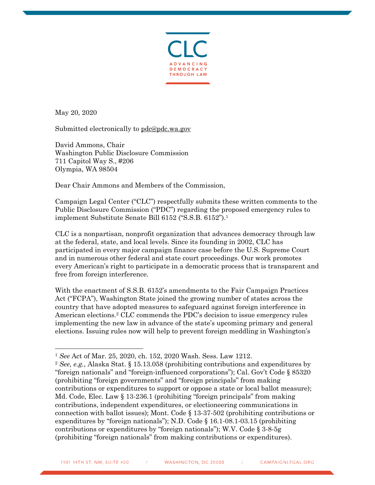

May 20, 2020

Submitted electronically to pdc@pdc.wa.gov

David Ammons, Chair Washington Public Disclosure Commission 711 Capitol Way S., #206 Olympia, WA 98504

Dear Chair Ammons and Members of the Commission,

Campaign Legal Center ("CLC") respectfully submits these written comments to the Public Disclosure Commission ("PDC") regarding the proposed emergency rules to implement Substitute Senate Bill 6152 ("S.S.B. 6152").1

CLC is a nonpartisan, nonprofit organization that advances democracy through law at the federal, state, and local levels. Since its founding in 2002, CLC has participated in every major campaign finance case before the U.S. Supreme Court and in numerous other federal and state court proceedings. Our work promotes every American's right to participate in a democratic process that is transparent and free from foreign interference.

With the enactment of S.S.B. 6152's amendments to the Fair Campaign Practices Act ("FCPA"), Washington State joined the growing number of states across the country that have adopted measures to safeguard against foreign interference in American elections. <sup>2</sup> CLC commends the PDC's decision to issue emergency rules implementing the new law in advance of the state's upcoming primary and general elections. Issuing rules now will help to prevent foreign meddling in Washington's

<sup>1</sup> *See* Act of Mar. 25, 2020, ch. 152, 2020 Wash. Sess. Law 1212.

<sup>2</sup> *See, e.g.*, Alaska Stat. § 15.13.058 (prohibiting contributions and expenditures by "foreign nationals" and "foreign-influenced corporations"); Cal. Gov't Code § 85320 (prohibiting "foreign governments" and "foreign principals" from making contributions or expenditures to support or oppose a state or local ballot measure); Md. Code, Elec. Law § 13-236.1 (prohibiting "foreign principals" from making contributions, independent expenditures, or electioneering communications in connection with ballot issues); Mont. Code § 13-37-502 (prohibiting contributions or expenditures by "foreign nationals"); N.D. Code § 16.1-08.1-03.15 (prohibiting contributions or expenditures by "foreign nationals"); W.V. Code § 3-8-5g (prohibiting "foreign nationals" from making contributions or expenditures).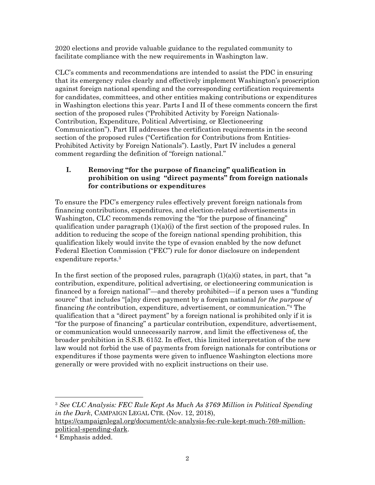2020 elections and provide valuable guidance to the regulated community to facilitate compliance with the new requirements in Washington law.

CLC's comments and recommendations are intended to assist the PDC in ensuring that its emergency rules clearly and effectively implement Washington's proscription against foreign national spending and the corresponding certification requirements for candidates, committees, and other entities making contributions or expenditures in Washington elections this year. Parts I and II of these comments concern the first section of the proposed rules ("Prohibited Activity by Foreign Nationals-Contribution, Expenditure, Political Advertising, or Electioneering Communication"). Part III addresses the certification requirements in the second section of the proposed rules ("Certification for Contributions from Entities-Prohibited Activity by Foreign Nationals"). Lastly, Part IV includes a general comment regarding the definition of "foreign national."

# **I. Removing "for the purpose of financing" qualification in prohibition on using "direct payments" from foreign nationals for contributions or expenditures**

To ensure the PDC's emergency rules effectively prevent foreign nationals from financing contributions, expenditures, and election-related advertisements in Washington, CLC recommends removing the "for the purpose of financing" qualification under paragraph  $(1)(a)(i)$  of the first section of the proposed rules. In addition to reducing the scope of the foreign national spending prohibition, this qualification likely would invite the type of evasion enabled by the now defunct Federal Election Commission ("FEC") rule for donor disclosure on independent expenditure reports.3

In the first section of the proposed rules, paragraph  $(1)(a)(i)$  states, in part, that "a" contribution, expenditure, political advertising, or electioneering communication is financed by a foreign national"—and thereby prohibited—if a person uses a "funding source" that includes "[a]ny direct payment by a foreign national *for the purpose of*  financing *the* contribution, expenditure, advertisement, or communication."4 The qualification that a "direct payment" by a foreign national is prohibited only if it is "for the purpose of financing" a particular contribution, expenditure, advertisement, or communication would unnecessarily narrow, and limit the effectiveness of, the broader prohibition in S.S.B. 6152. In effect, this limited interpretation of the new law would not forbid the use of payments from foreign nationals for contributions or expenditures if those payments were given to influence Washington elections more generally or were provided with no explicit instructions on their use.

<sup>3</sup> *See CLC Analysis: FEC Rule Kept As Much As \$769 Million in Political Spending in the Dark*, CAMPAIGN LEGAL CTR. (Nov. 12, 2018),

https://campaignlegal.org/document/clc-analysis-fec-rule-kept-much-769-millionpolitical-spending-dark. 4 Emphasis added.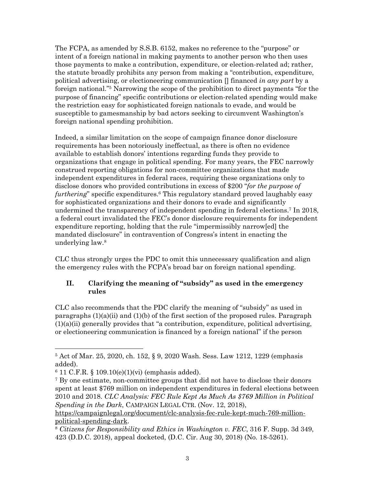The FCPA, as amended by S.S.B. 6152, makes no reference to the "purpose" or intent of a foreign national in making payments to another person who then uses those payments to make a contribution, expenditure, or election-related ad; rather, the statute broadly prohibits any person from making a "contribution, expenditure, political advertising, or electioneering communication [] financed *in any part* by a foreign national."5 Narrowing the scope of the prohibition to direct payments "for the purpose of financing" specific contributions or election-related spending would make the restriction easy for sophisticated foreign nationals to evade, and would be susceptible to gamesmanship by bad actors seeking to circumvent Washington's foreign national spending prohibition.

Indeed, a similar limitation on the scope of campaign finance donor disclosure requirements has been notoriously ineffectual, as there is often no evidence available to establish donors' intentions regarding funds they provide to organizations that engage in political spending. For many years, the FEC narrowly construed reporting obligations for non-committee organizations that made independent expenditures in federal races, requiring these organizations only to disclose donors who provided contributions in excess of \$200 "*for the purpose of furthering*" specific expenditures.6 This regulatory standard proved laughably easy for sophisticated organizations and their donors to evade and significantly undermined the transparency of independent spending in federal elections. <sup>7</sup> In 2018, a federal court invalidated the FEC's donor disclosure requirements for independent expenditure reporting, holding that the rule "impermissibly narrow[ed] the mandated disclosure" in contravention of Congress's intent in enacting the underlying law.8

CLC thus strongly urges the PDC to omit this unnecessary qualification and align the emergency rules with the FCPA's broad bar on foreign national spending.

## **II. Clarifying the meaning of "subsidy" as used in the emergency rules**

CLC also recommends that the PDC clarify the meaning of "subsidy" as used in paragraphs  $(1)(a)(ii)$  and  $(1)(b)$  of the first section of the proposed rules. Paragraph  $(1)(a)(ii)$  generally provides that "a contribution, expenditure, political advertising, or electioneering communication is financed by a foreign national" if the person

<sup>5</sup> Act of Mar. 25, 2020, ch. 152, § 9, 2020 Wash. Sess. Law 1212, 1229 (emphasis added).<br><sup>6</sup> 11 C.F.R. § 109.10(e)(1)(vi) (emphasis added).

<sup>7</sup> By one estimate, non-committee groups that did not have to disclose their donors spent at least \$769 million on independent expenditures in federal elections between 2010 and 2018. *CLC Analysis: FEC Rule Kept As Much As \$769 Million in Political Spending in the Dark*, CAMPAIGN LEGAL CTR. (Nov. 12, 2018),

https://campaignlegal.org/document/clc-analysis-fec-rule-kept-much-769-millionpolitical-spending-dark.<br><sup>8</sup> *Citizens for Responsibility and Ethics in Washington v. FEC*, 316 F. Supp. 3d 349,

<sup>423 (</sup>D.D.C. 2018), appeal docketed, (D.C. Cir. Aug 30, 2018) (No. 18-5261).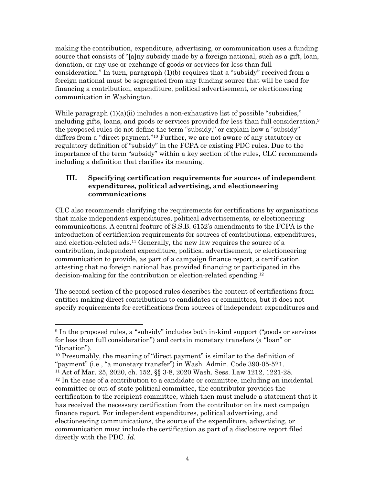making the contribution, expenditure, advertising, or communication uses a funding source that consists of "[a]ny subsidy made by a foreign national, such as a gift, loan, donation, or any use or exchange of goods or services for less than full consideration." In turn, paragraph (1)(b) requires that a "subsidy" received from a foreign national must be segregated from any funding source that will be used for financing a contribution, expenditure, political advertisement, or electioneering communication in Washington.

While paragraph  $(1)(a)(ii)$  includes a non-exhaustive list of possible "subsidies," including gifts, loans, and goods or services provided for less than full consideration, $9$ the proposed rules do not define the term "subsidy," or explain how a "subsidy" differs from a "direct payment."10 Further, we are not aware of any statutory or regulatory definition of "subsidy" in the FCPA or existing PDC rules. Due to the importance of the term "subsidy" within a key section of the rules, CLC recommends including a definition that clarifies its meaning.

## **III. Specifying certification requirements for sources of independent expenditures, political advertising, and electioneering communications**

CLC also recommends clarifying the requirements for certifications by organizations that make independent expenditures, political advertisements, or electioneering communications. A central feature of S.S.B. 6152's amendments to the FCPA is the introduction of certification requirements for sources of contributions, expenditures, and election-related ads. <sup>11</sup> Generally, the new law requires the source of a contribution, independent expenditure, political advertisement, or electioneering communication to provide, as part of a campaign finance report, a certification attesting that no foreign national has provided financing or participated in the decision-making for the contribution or election-related spending.12

The second section of the proposed rules describes the content of certifications from entities making direct contributions to candidates or committees, but it does not specify requirements for certifications from sources of independent expenditures and

<sup>9</sup> In the proposed rules, a "subsidy" includes both in-kind support ("goods or services for less than full consideration") and certain monetary transfers (a "loan" or "donation").

<sup>10</sup> Presumably, the meaning of "direct payment" is similar to the definition of "payment" (i.e., "a monetary transfer") in Wash. Admin. Code 390-05-521. 11 Act of Mar. 25, 2020, ch. 152, §§ 3-8, 2020 Wash. Sess. Law 1212, 1221-28.

 $12$  In the case of a contribution to a candidate or committee, including an incidental committee or out-of-state political committee, the contributor provides the certification to the recipient committee, which then must include a statement that it has received the necessary certification from the contributor on its next campaign finance report. For independent expenditures, political advertising, and electioneering communications, the source of the expenditure, advertising, or communication must include the certification as part of a disclosure report filed directly with the PDC. *Id*.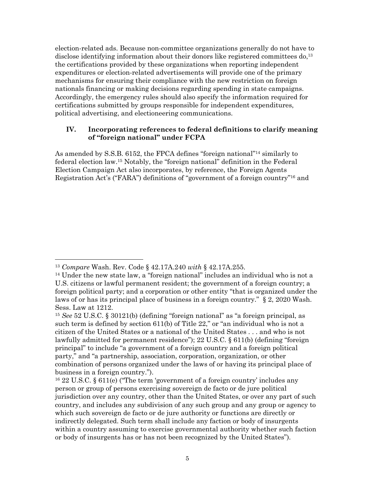election-related ads. Because non-committee organizations generally do not have to disclose identifying information about their donors like registered committees do,<sup>13</sup> the certifications provided by these organizations when reporting independent expenditures or election-related advertisements will provide one of the primary mechanisms for ensuring their compliance with the new restriction on foreign nationals financing or making decisions regarding spending in state campaigns. Accordingly, the emergency rules should also specify the information required for certifications submitted by groups responsible for independent expenditures, political advertising, and electioneering communications.

### **IV. Incorporating references to federal definitions to clarify meaning of "foreign national" under FCPA**

As amended by S.S.B. 6152, the FPCA defines "foreign national"14 similarly to federal election law.15 Notably, the "foreign national" definition in the Federal Election Campaign Act also incorporates, by reference, the Foreign Agents Registration Act's ("FARA") definitions of "government of a foreign country"16 and

<sup>13</sup> *Compare* Wash. Rev. Code § 42.17A.240 *with* § 42.17A.255.

<sup>&</sup>lt;sup>14</sup> Under the new state law, a "foreign national" includes an individual who is not a U.S. citizens or lawful permanent resident; the government of a foreign country; a foreign political party; and a corporation or other entity "that is organized under the laws of or has its principal place of business in a foreign country." § 2, 2020 Wash. Sess. Law at 1212.

<sup>15</sup> *See* 52 U.S.C. § 30121(b) (defining "foreign national" as "a foreign principal, as such term is defined by section 611(b) of Title 22," or "an individual who is not a citizen of the United States or a national of the United States . . . and who is not lawfully admitted for permanent residence"); 22 U.S.C. § 611(b) (defining "foreign principal" to include "a government of a foreign country and a foreign political party," and "a partnership, association, corporation, organization, or other combination of persons organized under the laws of or having its principal place of business in a foreign country.").

<sup>16</sup> 22 U.S.C. § 611(e) ("The term 'government of a foreign country' includes any person or group of persons exercising sovereign de facto or de jure political jurisdiction over any country, other than the United States, or over any part of such country, and includes any subdivision of any such group and any group or agency to which such sovereign de facto or de jure authority or functions are directly or indirectly delegated. Such term shall include any faction or body of insurgents within a country assuming to exercise governmental authority whether such faction or body of insurgents has or has not been recognized by the United States").